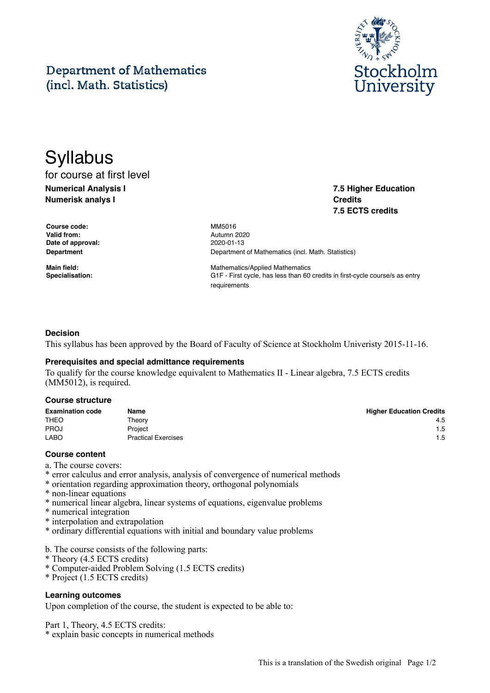# **Department of Mathematics** (incl. Math. Statistics)



**7.5 Higher Education**

**7.5 ECTS credits**

**Credits**

# **Syllabus** for course at first level

**Numerical Analysis I Numerisk analys I**

**Course code:** MM5016 **Valid from:** Autumn 2020 **Date of approval:** 2020-01-13

**Department** Department of Mathematics (incl. Math. Statistics)

**Main field:** Mathematics/Applied Mathematics **Specialisation:** G1F - First cycle, has less than 60 credits in first-cycle course/s as entry requirements

# **Decision**

This syllabus has been approved by the Board of Faculty of Science at Stockholm Univeristy 2015-11-16.

# **Prerequisites and special admittance requirements**

To qualify for the course knowledge equivalent to Mathematics II - Linear algebra, 7.5 ECTS credits (MM5012), is required.

#### **Course structure**

| <b>Examination code</b> | Name                       | <b>Higher Education Credits</b> |
|-------------------------|----------------------------|---------------------------------|
| <b>THEO</b>             | Theorv                     | 4.5                             |
| <b>PROJ</b>             | Proiect                    | 1.5                             |
| <b>LABO</b>             | <b>Practical Exercises</b> | 1.5                             |

#### **Course content**

- a. The course covers:
- \* error calculus and error analysis, analysis of convergence of numerical methods
- \* orientation regarding approximation theory, orthogonal polynomials
- \* non-linear equations
- \* numerical linear algebra, linear systems of equations, eigenvalue problems
- \* numerical integration
- \* interpolation and extrapolation
- \* ordinary differential equations with initial and boundary value problems
- b. The course consists of the following parts:
- \* Theory (4.5 ECTS credits)
- \* Computer-aided Problem Solving (1.5 ECTS credits)
- \* Project (1.5 ECTS credits)

#### **Learning outcomes**

Upon completion of the course, the student is expected to be able to:

Part 1, Theory, 4.5 ECTS credits:

\* explain basic concepts in numerical methods